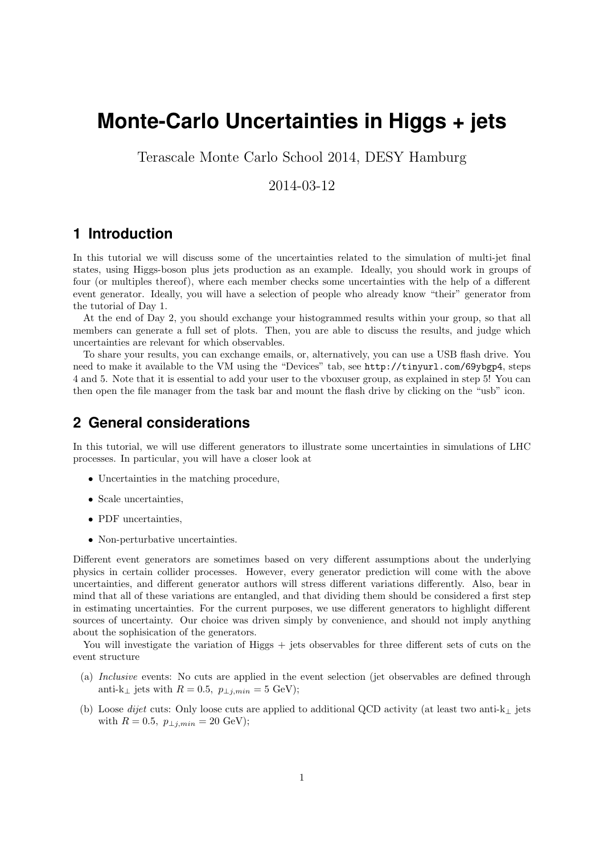# **Monte-Carlo Uncertainties in Higgs + jets**

Terascale Monte Carlo School 2014, DESY Hamburg

### 2014-03-12

# **1 Introduction**

In this tutorial we will discuss some of the uncertainties related to the simulation of multi-jet final states, using Higgs-boson plus jets production as an example. Ideally, you should work in groups of four (or multiples thereof), where each member checks some uncertainties with the help of a different event generator. Ideally, you will have a selection of people who already know "their" generator from the tutorial of Day 1.

At the end of Day 2, you should exchange your histogrammed results within your group, so that all members can generate a full set of plots. Then, you are able to discuss the results, and judge which uncertainties are relevant for which observables.

To share your results, you can exchange emails, or, alternatively, you can use a USB flash drive. You need to make it available to the VM using the "Devices" tab, see http://tinyurl.com/69ybgp4, steps 4 and 5. Note that it is essential to add your user to the vboxuser group, as explained in step 5! You can then open the file manager from the task bar and mount the flash drive by clicking on the "usb" icon.

# **2 General considerations**

In this tutorial, we will use different generators to illustrate some uncertainties in simulations of LHC processes. In particular, you will have a closer look at

- Uncertainties in the matching procedure,
- Scale uncertainties,
- PDF uncertainties,
- Non-perturbative uncertainties.

Different event generators are sometimes based on very different assumptions about the underlying physics in certain collider processes. However, every generator prediction will come with the above uncertainties, and different generator authors will stress different variations differently. Also, bear in mind that all of these variations are entangled, and that dividing them should be considered a first step in estimating uncertainties. For the current purposes, we use different generators to highlight different sources of uncertainty. Our choice was driven simply by convenience, and should not imply anything about the sophisication of the generators.

You will investigate the variation of Higgs + jets observables for three different sets of cuts on the event structure

- (a) Inclusive events: No cuts are applied in the event selection (jet observables are defined through anti-k<sub>⊥</sub> jets with  $R = 0.5$ ,  $p_{\perp j, min} = 5$  GeV);
- (b) Loose *dijet* cuts: Only loose cuts are applied to additional QCD activity (at least two anti-k<sub>⊥</sub> jets with  $R = 0.5$ ,  $p_{\perp i, min} = 20$  GeV);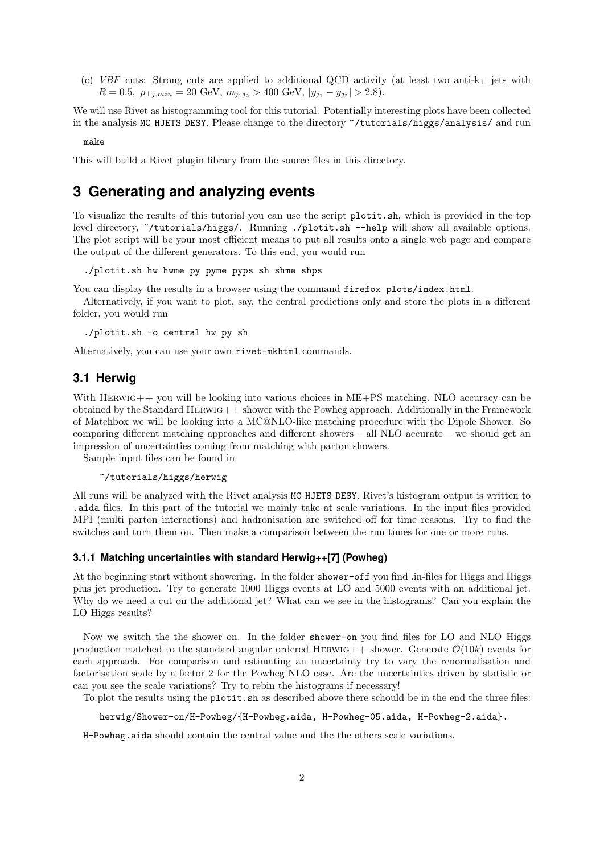(c) VBF cuts: Strong cuts are applied to additional QCD activity (at least two anti-k<sub>⊥</sub> jets with  $R = 0.5, p_{\perp j, min} = 20 \text{ GeV}, m_{j_1 j_2} > 400 \text{ GeV}, |y_{j_1} - y_{j_2}| > 2.8).$ 

We will use Rivet as histogramming tool for this tutorial. Potentially interesting plots have been collected in the analysis MC HJETS DESY. Please change to the directory ~/tutorials/higgs/analysis/ and run

make

This will build a Rivet plugin library from the source files in this directory.

## **3 Generating and analyzing events**

To visualize the results of this tutorial you can use the script plotit.sh, which is provided in the top level directory, ~/tutorials/higgs/. Running ./plotit.sh --help will show all available options. The plot script will be your most efficient means to put all results onto a single web page and compare the output of the different generators. To this end, you would run

./plotit.sh hw hwme py pyme pyps sh shme shps

You can display the results in a browser using the command firefox plots/index.html.

Alternatively, if you want to plot, say, the central predictions only and store the plots in a different folder, you would run

./plotit.sh -o central hw py sh

Alternatively, you can use your own rivet-mkhtml commands.

### **3.1 Herwig**

With HERWIG++ you will be looking into various choices in ME+PS matching. NLO accuracy can be obtained by the Standard Herwig++ shower with the Powheg approach. Additionally in the Framework of Matchbox we will be looking into a MC@NLO-like matching procedure with the Dipole Shower. So comparing different matching approaches and different showers – all NLO accurate – we should get an impression of uncertainties coming from matching with parton showers.

Sample input files can be found in

### ~/tutorials/higgs/herwig

All runs will be analyzed with the Rivet analysis MC HJETS DESY. Rivet's histogram output is written to .aida files. In this part of the tutorial we mainly take at scale variations. In the input files provided MPI (multi parton interactions) and hadronisation are switched off for time reasons. Try to find the switches and turn them on. Then make a comparison between the run times for one or more runs.

### **3.1.1 Matching uncertainties with standard Herwig++[7] (Powheg)**

At the beginning start without showering. In the folder shower-off you find .in-files for Higgs and Higgs plus jet production. Try to generate 1000 Higgs events at LO and 5000 events with an additional jet. Why do we need a cut on the additional jet? What can we see in the histograms? Can you explain the LO Higgs results?

Now we switch the the shower on. In the folder shower-on you find files for LO and NLO Higgs production matched to the standard angular ordered HERWIG++ shower. Generate  $\mathcal{O}(10k)$  events for each approach. For comparison and estimating an uncertainty try to vary the renormalisation and factorisation scale by a factor 2 for the Powheg NLO case. Are the uncertainties driven by statistic or can you see the scale variations? Try to rebin the histograms if necessary!

To plot the results using the plotit.sh as described above there schould be in the end the three files:

herwig/Shower-on/H-Powheg/{H-Powheg.aida, H-Powheg-05.aida, H-Powheg-2.aida}.

H-Powheg.aida should contain the central value and the the others scale variations.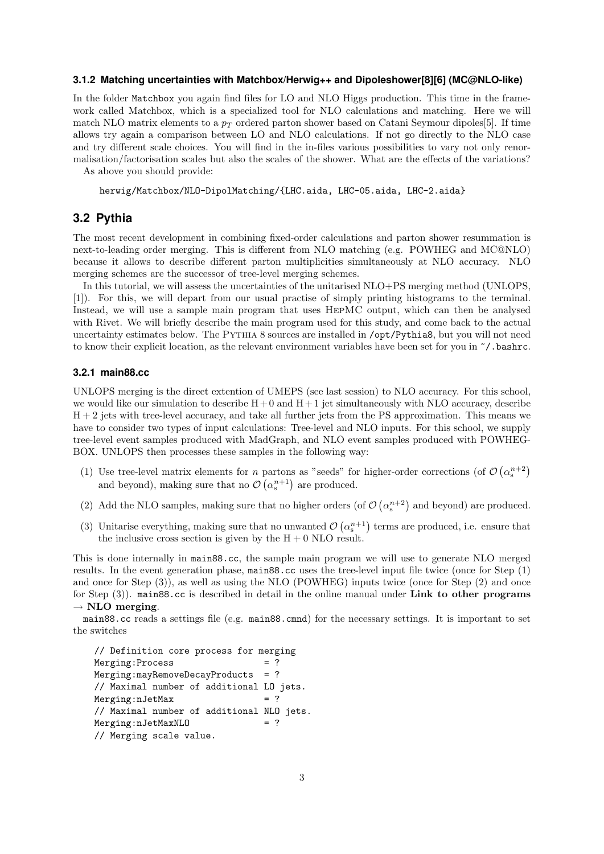#### **3.1.2 Matching uncertainties with Matchbox/Herwig++ and Dipoleshower[8][6] (MC@NLO-like)**

In the folder Matchbox you again find files for LO and NLO Higgs production. This time in the framework called Matchbox, which is a specialized tool for NLO calculations and matching. Here we will match NLO matrix elements to a  $p_T$  ordered parton shower based on Catani Seymour dipoles [5]. If time allows try again a comparison between LO and NLO calculations. If not go directly to the NLO case and try different scale choices. You will find in the in-files various possibilities to vary not only renormalisation/factorisation scales but also the scales of the shower. What are the effects of the variations?

As above you should provide:

herwig/Matchbox/NLO-DipolMatching/{LHC.aida, LHC-05.aida, LHC-2.aida}

### **3.2 Pythia**

The most recent development in combining fixed-order calculations and parton shower resummation is next-to-leading order merging. This is different from NLO matching (e.g. POWHEG and MC@NLO) because it allows to describe different parton multiplicities simultaneously at NLO accuracy. NLO merging schemes are the successor of tree-level merging schemes.

In this tutorial, we will assess the uncertainties of the unitarised NLO+PS merging method (UNLOPS, [1]). For this, we will depart from our usual practise of simply printing histograms to the terminal. Instead, we will use a sample main program that uses HepMC output, which can then be analysed with Rivet. We will briefly describe the main program used for this study, and come back to the actual uncertainty estimates below. The Pythia 8 sources are installed in /opt/Pythia8, but you will not need to know their explicit location, as the relevant environment variables have been set for you in  $\gamma$ . bashrc.

### **3.2.1 main88.cc**

UNLOPS merging is the direct extention of UMEPS (see last session) to NLO accuracy. For this school, we would like our simulation to describe  $H + 0$  and  $H + 1$  jet simultaneously with NLO accuracy, describe H + 2 jets with tree-level accuracy, and take all further jets from the PS approximation. This means we have to consider two types of input calculations: Tree-level and NLO inputs. For this school, we supply tree-level event samples produced with MadGraph, and NLO event samples produced with POWHEG-BOX. UNLOPS then processes these samples in the following way:

- (1) Use tree-level matrix elements for *n* partons as "seeds" for higher-order corrections (of  $\mathcal{O}(\alpha_s^{n+2})$ and beyond), making sure that no  $\mathcal{O}\left(\alpha_s^{n+1}\right)$  are produced.
- (2) Add the NLO samples, making sure that no higher orders (of  $\mathcal{O}\left(\alpha_s^{n+2}\right)$  and beyond) are produced.
- (3) Unitarise everything, making sure that no unwanted  $\mathcal{O}\left(\alpha_s^{n+1}\right)$  terms are produced, i.e. ensure that the inclusive cross section is given by the  $H + 0$  NLO result.

This is done internally in main88.cc, the sample main program we will use to generate NLO merged results. In the event generation phase, main88.cc uses the tree-level input file twice (once for Step (1) and once for Step (3)), as well as using the NLO (POWHEG) inputs twice (once for Step (2) and once for Step  $(3)$ ). main88.cc is described in detail in the online manual under Link to other programs  $\rightarrow$  NLO merging.

main88.cc reads a settings file (e.g. main88.cmnd) for the necessary settings. It is important to set the switches

```
// Definition core process for merging
Merging: Process = ?
Merging:mayRemoveDecayProducts = ?
// Maximal number of additional LO jets.
Merging:nJetMax = ?
// Maximal number of additional NLO jets.
Merging:nJetMaxNLO = ?
// Merging scale value.
```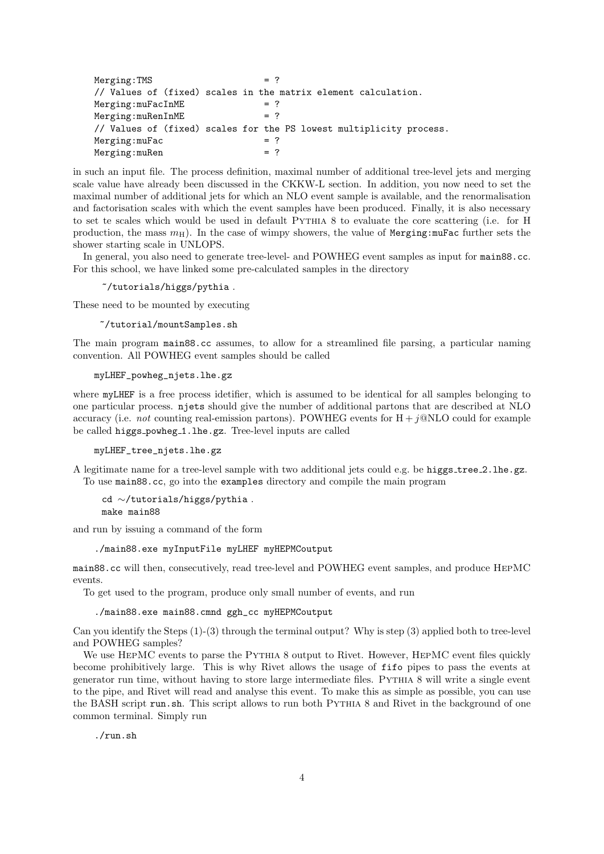$Merging: TMS$  = ? // Values of (fixed) scales in the matrix element calculation.  $Merging: mufacInME$  = ?  $Merging: muRenInME$  = ? // Values of (fixed) scales for the PS lowest multiplicity process.  $Merging: mufac$  = ?  $Merging: muRen$  = ?

in such an input file. The process definition, maximal number of additional tree-level jets and merging scale value have already been discussed in the CKKW-L section. In addition, you now need to set the maximal number of additional jets for which an NLO event sample is available, and the renormalisation and factorisation scales with which the event samples have been produced. Finally, it is also necessary to set te scales which would be used in default Pythia 8 to evaluate the core scattering (i.e. for H production, the mass  $m<sub>H</sub>$ ). In the case of wimpy showers, the value of Merging: muFac further sets the shower starting scale in UNLOPS.

In general, you also need to generate tree-level- and POWHEG event samples as input for main88.cc. For this school, we have linked some pre-calculated samples in the directory

~/tutorials/higgs/pythia .

These need to be mounted by executing

~/tutorial/mountSamples.sh

The main program main88.cc assumes, to allow for a streamlined file parsing, a particular naming convention. All POWHEG event samples should be called

myLHEF\_powheg\_njets.lhe.gz

where myLHEF is a free process idetifier, which is assumed to be identical for all samples belonging to one particular process. njets should give the number of additional partons that are described at NLO accuracy (i.e. not counting real-emission partons). POWHEG events for  $H + i@NLO$  could for example be called higgs\_powheg\_1.lhe.gz. Tree-level inputs are called

myLHEF\_tree\_njets.lhe.gz

A legitimate name for a tree-level sample with two additional jets could e.g. be higgs tree 2.lhe.gz. To use main88.cc, go into the examples directory and compile the main program

#### cd ∼/tutorials/higgs/pythia . make main88

and run by issuing a command of the form

./main88.exe myInputFile myLHEF myHEPMCoutput

main88.cc will then, consecutively, read tree-level and POWHEG event samples, and produce HepMC events.

To get used to the program, produce only small number of events, and run

./main88.exe main88.cmnd ggh\_cc myHEPMCoutput

Can you identify the Steps (1)-(3) through the terminal output? Why is step (3) applied both to tree-level and POWHEG samples?

We use HEPMC events to parse the PYTHIA 8 output to Rivet. However, HEPMC event files quickly become prohibitively large. This is why Rivet allows the usage of fifo pipes to pass the events at generator run time, without having to store large intermediate files. Pythia 8 will write a single event to the pipe, and Rivet will read and analyse this event. To make this as simple as possible, you can use the BASH script run.sh. This script allows to run both PYTHIA 8 and Rivet in the background of one common terminal. Simply run

./run.sh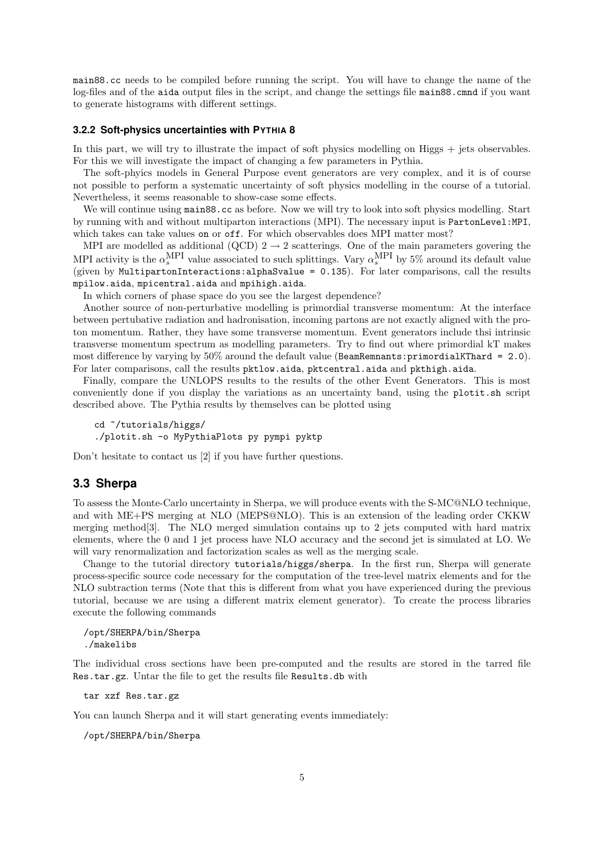main88.cc needs to be compiled before running the script. You will have to change the name of the log-files and of the aida output files in the script, and change the settings file main88.cmnd if you want to generate histograms with different settings.

#### **3.2.2 Soft-physics uncertainties with PYTHIA 8**

In this part, we will try to illustrate the impact of soft physics modelling on Higgs + jets observables. For this we will investigate the impact of changing a few parameters in Pythia.

The soft-phyics models in General Purpose event generators are very complex, and it is of course not possible to perform a systematic uncertainty of soft physics modelling in the course of a tutorial. Nevertheless, it seems reasonable to show-case some effects.

We will continue using main88.cc as before. Now we will try to look into soft physics modelling. Start by running with and without multiparton interactions (MPI). The necessary input is PartonLevel:MPI, which takes can take values on or off. For which observables does MPI matter most?

MPI are modelled as additional (QCD)  $2 \rightarrow 2$  scatterings. One of the main parameters govering the MPI activity is the  $\alpha_s^{\text{MPI}}$  value associated to such splittings. Vary  $\alpha_s^{\text{MPI}}$  by 5% around its default value (given by MultipartonInteractions:alphaSvalue = 0.135). For later comparisons, call the results mpilow.aida, mpicentral.aida and mpihigh.aida.

In which corners of phase space do you see the largest dependence?

Another source of non-perturbative modelling is primordial transverse momentum: At the interface between pertubative radiation and hadronisation, incoming partons are not exactly aligned with the proton momentum. Rather, they have some transverse momentum. Event generators include thsi intrinsic transverse momentum spectrum as modelling parameters. Try to find out where primordial kT makes most difference by varying by 50% around the default value (BeamRemnants:primordialKThard = 2.0). For later comparisons, call the results pktlow.aida, pktcentral.aida and pkthigh.aida.

Finally, compare the UNLOPS results to the results of the other Event Generators. This is most conveniently done if you display the variations as an uncertainty band, using the plotit.sh script described above. The Pythia results by themselves can be plotted using

```
cd ~/tutorials/higgs/
./plotit.sh -o MyPythiaPlots py pympi pyktp
```
Don't hesitate to contact us [2] if you have further questions.

### **3.3 Sherpa**

To assess the Monte-Carlo uncertainty in Sherpa, we will produce events with the S-MC@NLO technique, and with ME+PS merging at NLO (MEPS@NLO). This is an extension of the leading order CKKW merging method[3]. The NLO merged simulation contains up to 2 jets computed with hard matrix elements, where the 0 and 1 jet process have NLO accuracy and the second jet is simulated at LO. We will vary renormalization and factorization scales as well as the merging scale.

Change to the tutorial directory tutorials/higgs/sherpa. In the first run, Sherpa will generate process-specific source code necessary for the computation of the tree-level matrix elements and for the NLO subtraction terms (Note that this is different from what you have experienced during the previous tutorial, because we are using a different matrix element generator). To create the process libraries execute the following commands

```
/opt/SHERPA/bin/Sherpa
./makelibs
```
The individual cross sections have been pre-computed and the results are stored in the tarred file Res.tar.gz. Untar the file to get the results file Results.db with

tar xzf Res.tar.gz

You can launch Sherpa and it will start generating events immediately:

/opt/SHERPA/bin/Sherpa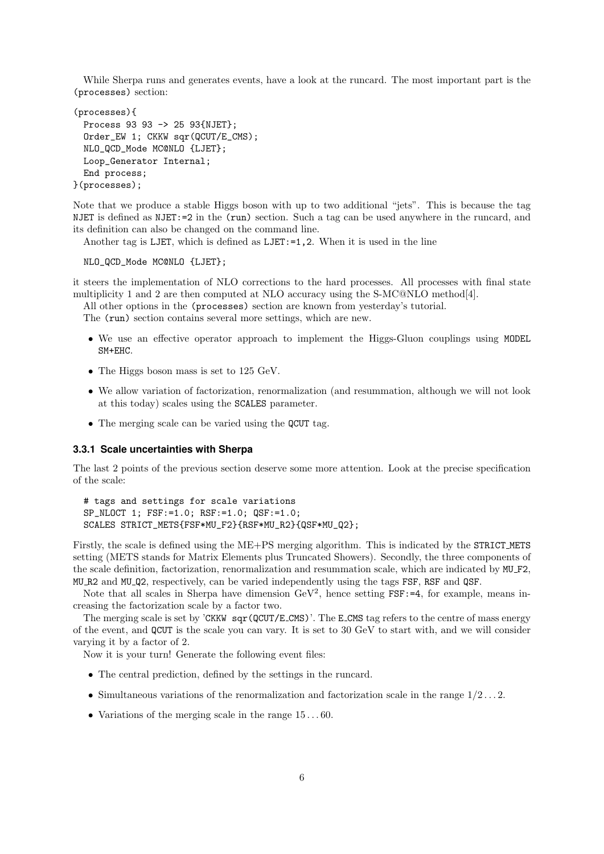While Sherpa runs and generates events, have a look at the runcard. The most important part is the (processes) section:

```
(processes){
 Process 93 93 -> 25 93{NJET};
 Order_EW 1; CKKW sqr(QCUT/E_CMS);
 NLO_QCD_Mode MC@NLO {LJET};
 Loop_Generator Internal;
 End process;
}(processes);
```
Note that we produce a stable Higgs boson with up to two additional "jets". This is because the tag NJET is defined as NJET:=2 in the (run) section. Such a tag can be used anywhere in the runcard, and its definition can also be changed on the command line.

Another tag is LJET, which is defined as LJET:=1,2. When it is used in the line

NLO\_QCD\_Mode MC@NLO {LJET};

it steers the implementation of NLO corrections to the hard processes. All processes with final state multiplicity 1 and 2 are then computed at NLO accuracy using the S-MC@NLO method[4].

All other options in the (processes) section are known from yesterday's tutorial.

The (run) section contains several more settings, which are new.

- We use an effective operator approach to implement the Higgs-Gluon couplings using MODEL SM+EHC.
- The Higgs boson mass is set to 125 GeV.
- We allow variation of factorization, renormalization (and resummation, although we will not look at this today) scales using the SCALES parameter.
- The merging scale can be varied using the QCUT tag.

### **3.3.1 Scale uncertainties with Sherpa**

The last 2 points of the previous section deserve some more attention. Look at the precise specification of the scale:

```
# tags and settings for scale variations
SP_NLOCT 1; FSF:=1.0; RSF:=1.0; QSF:=1.0;
SCALES STRICT_METS{FSF*MU_F2}{RSF*MU_R2}{QSF*MU_Q2};
```
Firstly, the scale is defined using the ME+PS merging algorithm. This is indicated by the STRICT\_METS setting (METS stands for Matrix Elements plus Truncated Showers). Secondly, the three components of the scale definition, factorization, renormalization and resummation scale, which are indicated by MU F2, MU R2 and MU Q2, respectively, can be varied independently using the tags FSF, RSF and QSF.

Note that all scales in Sherpa have dimension  $GeV^2$ , hence setting  $FSF:=4$ , for example, means increasing the factorization scale by a factor two.

The merging scale is set by 'CKKW sqr(QCUT/E\_CMS)'. The E\_CMS tag refers to the centre of mass energy of the event, and QCUT is the scale you can vary. It is set to 30 GeV to start with, and we will consider varying it by a factor of 2.

Now it is your turn! Generate the following event files:

- The central prediction, defined by the settings in the runcard.
- Simultaneous variations of the renormalization and factorization scale in the range  $1/2 \ldots 2$ .
- Variations of the merging scale in the range  $15...60$ .